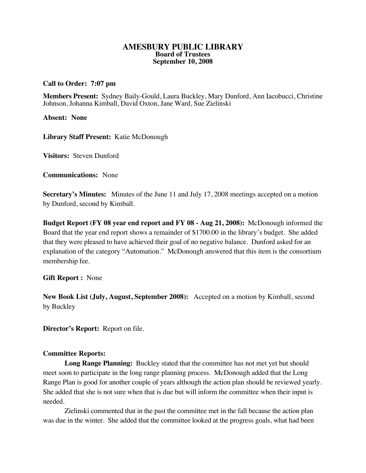### **AMESBURY PUBLIC LIBRARY Board of Trustees September 10, 2008**

# **Call to Order: 7:07 pm**

**Members Present:** Sydney Baily-Gould, Laura Buckley, Mary Dunford, Ann Iacobucci, Christine Johnson, Johanna Kimball, David Oxton, Jane Ward, Sue Zielinski

**Absent: None**

**Library Staff Present:** Katie McDonough

**Visitors:** Steven Dunford

**Communications:** None

**Secretary's Minutes:** Minutes of the June 11 and July 17, 2008 meetings accepted on a motion by Dunford, second by Kimball.

**Budget Report (FY 08 year end report and FY 08 - Aug 21, 2008):** McDonough informed the Board that the year end report shows a remainder of \$1700.00 in the library's budget. She added that they were pleased to have achieved their goal of no negative balance. Dunford asked for an explanation of the category "Automation." McDonough answered that this item is the consortium membership fee.

**Gift Report :** None

**New Book List (July, August, September 2008):** Accepted on a motion by Kimball, second by Buckley

**Director's Report:** Report on file.

# **Committee Reports:**

**Long Range Planning:** Buckley stated that the committee has not met yet but should meet soon to participate in the long range planning process. McDonough added that the Long Range Plan is good for another couple of years although the action plan should be reviewed yearly. She added that she is not sure when that is due but will inform the committee when their input is needed.

Zielinski commented that in the past the committee met in the fall because the action plan was due in the winter. She added that the committee looked at the progress goals, what had been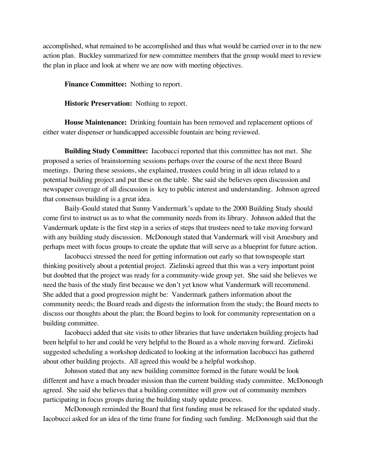accomplished, what remained to be accomplished and thus what would be carried over in to the new action plan. Buckley summarized for new committee members that the group would meet to review the plan in place and look at where we are now with meeting objectives.

**Finance Committee:** Nothing to report.

**Historic Preservation:** Nothing to report.

**House Maintenance:** Drinking fountain has been removed and replacement options of either water dispenser or handicapped accessible fountain are being reviewed.

**Building Study Committee:** Iacobucci reported that this committee has not met. She proposed a series of brainstorming sessions perhaps over the course of the next three Board meetings. During these sessions, she explained, trustees could bring in all ideas related to a potential building project and put these on the table. She said she believes open discussion and newspaper coverage of all discussion is key to public interest and understanding. Johnson agreed that consensus building is a great idea.

Baily-Gould stated that Sunny Vandermark's update to the 2000 Building Study should come first to instruct us as to what the community needs from its library. Johnson added that the Vandermark update is the first step in a series of steps that trustees need to take moving forward with any building study discussion. McDonough stated that Vandermark will visit Amesbury and perhaps meet with focus groups to create the update that will serve as a blueprint for future action.

Iacobucci stressed the need for getting information out early so that townspeople start thinking positively about a potential project. Zielinski agreed that this was a very important point but doubted that the project was ready for a community-wide group yet. She said she believes we need the basis of the study first because we don't yet know what Vandermark will recommend. She added that a good progression might be: Vandermark gathers information about the community needs; the Board reads and digests the information from the study; the Board meets to discuss our thoughts about the plan; the Board begins to look for community representation on a building committee.

Iacobucci added that site visits to other libraries that have undertaken building projects had been helpful to her and could be very helpful to the Board as a whole moving forward. Zielinski suggested scheduling a workshop dedicated to looking at the information Iacobucci has gathered about other building projects. All agreed this would be a helpful workshop.

Johnson stated that any new building committee formed in the future would be look different and have a much broader mission than the current building study committee. McDonough agreed. She said she believes that a building committee will grow out of community members participating in focus groups during the building study update process.

McDonough reminded the Board that first funding must be released for the updated study. Iacobucci asked for an idea of the time frame for finding such funding. McDonough said that the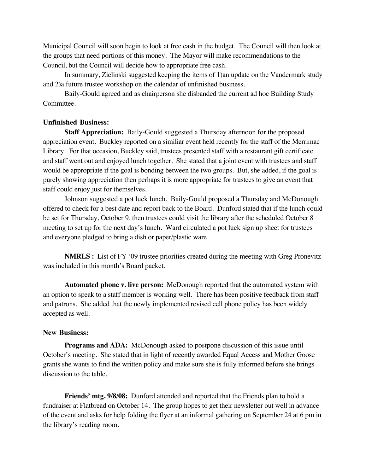Municipal Council will soon begin to look at free cash in the budget. The Council will then look at the groups that need portions of this money. The Mayor will make recommendations to the Council, but the Council will decide how to appropriate free cash.

In summary, Zielinski suggested keeping the items of 1)an update on the Vandermark study and 2)a future trustee workshop on the calendar of unfinished business.

Baily-Gould agreed and as chairperson she disbanded the current ad hoc Building Study Committee.

# **Unfinished Business:**

**Staff Appreciation:** Baily-Gould suggested a Thursday afternoon for the proposed appreciation event. Buckley reported on a similiar event held recently for the staff of the Merrimac Library. For that occasion, Buckley said, trustees presented staff with a restaurant gift certificate and staff went out and enjoyed lunch together. She stated that a joint event with trustees and staff would be appropriate if the goal is bonding between the two groups. But, she added, if the goal is purely showing appreciation then perhaps it is more appropriate for trustees to give an event that staff could enjoy just for themselves.

Johnson suggested a pot luck lunch. Baily-Gould proposed a Thursday and McDonough offered to check for a best date and report back to the Board. Dunford stated that if the lunch could be set for Thursday, October 9, then trustees could visit the library after the scheduled October 8 meeting to set up for the next day's lunch. Ward circulated a pot luck sign up sheet for trustees and everyone pledged to bring a dish or paper/plastic ware.

**NMRLS :** List of FY '09 trustee priorities created during the meeting with Greg Pronevitz was included in this month's Board packet.

**Automated phone v. live person:** McDonough reported that the automated system with an option to speak to a staff member is working well. There has been positive feedback from staff and patrons. She added that the newly implemented revised cell phone policy has been widely accepted as well.

# **New Business:**

**Programs and ADA:** McDonough asked to postpone discussion of this issue until October's meeting. She stated that in light of recently awarded Equal Access and Mother Goose grants she wants to find the written policy and make sure she is fully informed before she brings discussion to the table.

**Friends' mtg. 9/8/08:** Dunford attended and reported that the Friends plan to hold a fundraiser at Flatbread on October 14. The group hopes to get their newsletter out well in advance of the event and asks for help folding the flyer at an informal gathering on September 24 at 6 pm in the library's reading room.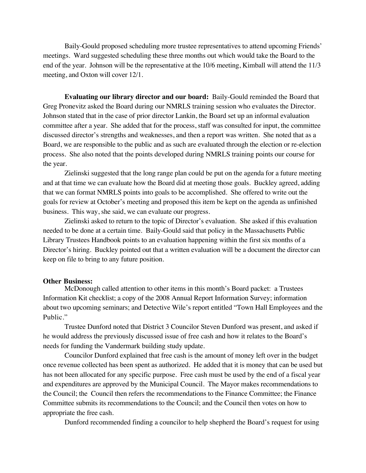Baily-Gould proposed scheduling more trustee representatives to attend upcoming Friends' meetings. Ward suggested scheduling these three months out which would take the Board to the end of the year. Johnson will be the representative at the 10/6 meeting, Kimball will attend the 11/3 meeting, and Oxton will cover 12/1.

**Evaluating our library director and our board:** Baily-Gould reminded the Board that Greg Pronevitz asked the Board during our NMRLS training session who evaluates the Director. Johnson stated that in the case of prior director Lankin, the Board set up an informal evaluation committee after a year. She added that for the process, staff was consulted for input, the committee discussed director's strengths and weaknesses, and then a report was written. She noted that as a Board, we are responsible to the public and as such are evaluated through the election or re-election process. She also noted that the points developed during NMRLS training points our course for the year.

Zielinski suggested that the long range plan could be put on the agenda for a future meeting and at that time we can evaluate how the Board did at meeting those goals. Buckley agreed, adding that we can format NMRLS points into goals to be accomplished. She offered to write out the goals for review at October's meeting and proposed this item be kept on the agenda as unfinished business. This way, she said, we can evaluate our progress.

Zielinski asked to return to the topic of Director's evaluation. She asked if this evaluation needed to be done at a certain time. Baily-Gould said that policy in the Massachusetts Public Library Trustees Handbook points to an evaluation happening within the first six months of a Director's hiring. Buckley pointed out that a written evaluation will be a document the director can keep on file to bring to any future position.

### **Other Business:**

McDonough called attention to other items in this month's Board packet: a Trustees Information Kit checklist; a copy of the 2008 Annual Report Information Survey; information about two upcoming seminars; and Detective Wile's report entitled "Town Hall Employees and the Public."

Trustee Dunford noted that District 3 Councilor Steven Dunford was present, and asked if he would address the previously discussed issue of free cash and how it relates to the Board's needs for funding the Vandermark building study update.

Councilor Dunford explained that free cash is the amount of money left over in the budget once revenue collected has been spent as authorized. He added that it is money that can be used but has not been allocated for any specific purpose. Free cash must be used by the end of a fiscal year and expenditures are approved by the Municipal Council. The Mayor makes recommendations to the Council; the Council then refers the recommendations to the Finance Committee; the Finance Committee submits its recommendations to the Council; and the Council then votes on how to appropriate the free cash.

Dunford recommended finding a councilor to help shepherd the Board's request for using